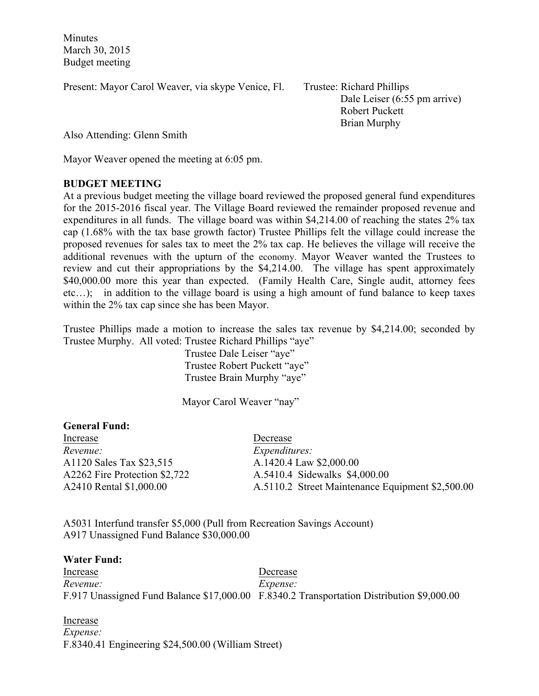Minutes March 30, 2015 Budget meeting

Present: Mayor Carol Weaver, via skype Venice, Fl. Trustee: Richard Phillips

Dale Leiser (6:55 pm arrive) Robert Puckett Brian Murphy

Also Attending: Glenn Smith

Mayor Weaver opened the meeting at 6:05 pm.

## **BUDGET MEETING**

At a previous budget meeting the village board reviewed the proposed general fund expenditures for the 2015-2016 fiscal year. The Village Board reviewed the remainder proposed revenue and expenditures in all funds. The village board was within \$4,214.00 of reaching the states 2% tax cap (1.68% with the tax base growth factor) Trustee Phillips felt the village could increase the proposed revenues for sales tax to meet the 2% tax cap. He believes the village will receive the additional revenues with the upturn of the economy. Mayor Weaver wanted the Trustees to review and cut their appropriations by the \$4,214.00. The village has spent approximately \$40,000.00 more this year than expected. (Family Health Care, Single audit, attorney fees etc…); in addition to the village board is using a high amount of fund balance to keep taxes within the 2% tax cap since she has been Mayor.

Trustee Phillips made a motion to increase the sales tax revenue by \$4,214.00; seconded by Trustee Murphy. All voted: Trustee Richard Phillips "aye"

 Trustee Dale Leiser "aye" Trustee Robert Puckett "aye" Trustee Brain Murphy "aye"

Mayor Carol Weaver "nay"

| <b>General Fund:</b>          |                                                  |
|-------------------------------|--------------------------------------------------|
| Increase                      | Decrease                                         |
| Revenue:                      | <i>Expenditures:</i>                             |
| A1120 Sales Tax \$23,515      | A.1420.4 Law \$2,000.00                          |
| A2262 Fire Protection \$2,722 | A.5410.4 Sidewalks \$4,000.00                    |
| A2410 Rental \$1,000.00       | A.5110.2 Street Maintenance Equipment \$2,500.00 |

A5031 Interfund transfer \$5,000 (Pull from Recreation Savings Account) A917 Unassigned Fund Balance \$30,000.00

## **Water Fund:**

Increase Decrease *Revenue: Expense:* F.917 Unassigned Fund Balance \$17,000.00 F.8340.2 Transportation Distribution \$9,000.00

Increase *Expense:* F.8340.41 Engineering \$24,500.00 (William Street)